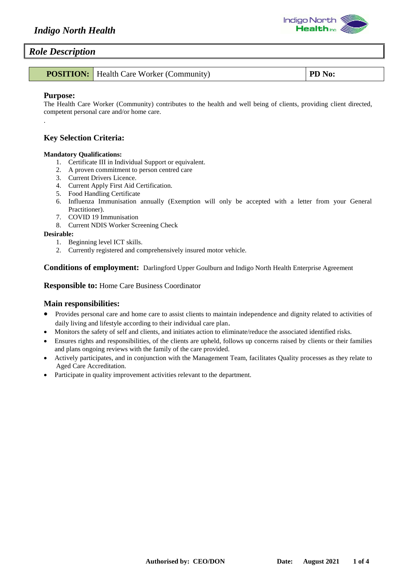

|  | <b>POSITION:</b> Health Care Worker (Community) | <b>PD</b> No: |
|--|-------------------------------------------------|---------------|
|--|-------------------------------------------------|---------------|

#### **Purpose:**

.

The Health Care Worker (Community) contributes to the health and well being of clients, providing client directed, competent personal care and/or home care.

# **Key Selection Criteria:**

#### **Mandatory Qualifications:**

- 1. Certificate III in Individual Support or equivalent.
- 2. A proven commitment to person centred care
- 3. Current Drivers Licence.
- 4. Current Apply First Aid Certification.
- 5. Food Handling Certificate
- 6. Influenza Immunisation annually (Exemption will only be accepted with a letter from your General Practitioner).
- 7. COVID 19 Immunisation
- 8. Current NDIS Worker Screening Check

#### **Desirable:**

- 1. Beginning level ICT skills.
- 2. Currently registered and comprehensively insured motor vehicle.

**Conditions of employment:** Darlingford Upper Goulburn and Indigo North Health Enterprise Agreement

**Responsible to:** Home Care Business Coordinator

# **Main responsibilities:**

- Provides personal care and home care to assist clients to maintain independence and dignity related to activities of daily living and lifestyle according to their individual care plan.
- Monitors the safety of self and clients, and initiates action to eliminate/reduce the associated identified risks.
- Ensures rights and responsibilities, of the clients are upheld, follows up concerns raised by clients or their families and plans ongoing reviews with the family of the care provided.
- Actively participates, and in conjunction with the Management Team, facilitates Quality processes as they relate to Aged Care Accreditation.
- Participate in quality improvement activities relevant to the department.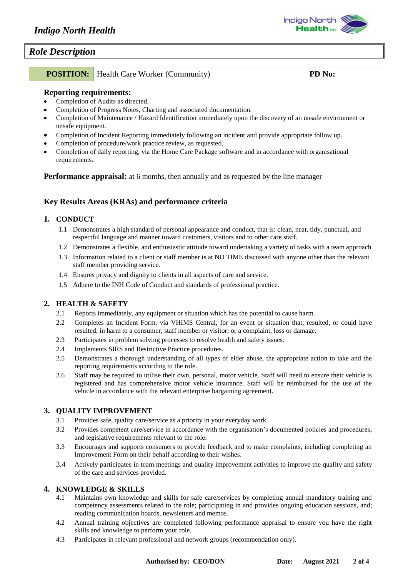

#### **POSITION:** Health Care Worker (Community) **PD No:**

#### **Reporting requirements:**

- Completion of Audits as directed.
- Completion of Progress Notes, Charting and associated documentation.
- Completion of Maintenance / Hazard Identification immediately upon the discovery of an unsafe environment or unsafe equipment.
- Completion of Incident Reporting immediately following an incident and provide appropriate follow up.
- Completion of procedure/work practice review, as requested.
- Completion of daily reporting, via the Home Care Package software and in accordance with organisational requirements.

**Performance appraisal:** at 6 months, then annually and as requested by the line manager

# **Key Results Areas (KRAs) and performance criteria**

# **1. CONDUCT**

- 1.1 Demonstrates a high standard of personal appearance and conduct, that is: clean, neat, tidy, punctual, and respectful language and manner toward customers, visitors and to other care staff.
- 1.2 Demonstrates a flexible, and enthusiastic attitude toward undertaking a variety of tasks with a team approach
- 1.3 Information related to a client or staff member is at NO TIME discussed with anyone other than the relevant staff member providing service.
- 1.4 Ensures privacy and dignity to clients in all aspects of care and service.
- 1.5 Adhere to the INH Code of Conduct and standards of professional practice.

# **2. HEALTH & SAFETY**

- 2.1 Reports immediately, any equipment or situation which has the potential to cause harm.
- 2.2 Completes an Incident Form, via VHIMS Central, for an event or situation that; resulted, or could have resulted, in harm to a consumer, staff member or visitor; or a complaint, loss or damage.
- 2.3 Participates in problem solving processes to resolve health and safety issues.
- 2.4 Implements SIRS and Restrictive Practice procedures.
- 2.5 Demonstrates a thorough understanding of all types of elder abuse, the appropriate action to take and the reporting requirements according to the role.
- 2.6 Staff may be required to utilise their own, personal, motor vehicle. Staff will need to ensure their vehicle is registered and has comprehensive motor vehicle insurance. Staff will be reimbursed for the use of the vehicle in accordance with the relevant enterprise bargaining agreement.

# **3. QUALITY IMPROVEMENT**

- 3.1 Provides safe, quality care/service as a priority in your everyday work.
- 3.2 Provides competent care/service in accordance with the organisation's documented policies and procedures, and legislative requirements relevant to the role.
- 3.3 Encourages and supports consumers to provide feedback and to make complaints, including completing an Improvement Form on their behalf according to their wishes.
- 3.4 Actively participates in team meetings and quality improvement activities to improve the quality and safety of the care and services provided.

#### **4. KNOWLEDGE & SKILLS**

- 4.1 Maintains own knowledge and skills for safe care/services by completing annual mandatory training and competency assessments related to the role; participating in and provides ongoing education sessions, and; reading communication boards, newsletters and memos.
- 4.2 Annual training objectives are completed following performance appraisal to ensure you have the right skills and knowledge to perform your role.
- 4.3 Participates in relevant professional and network groups (recommendation only).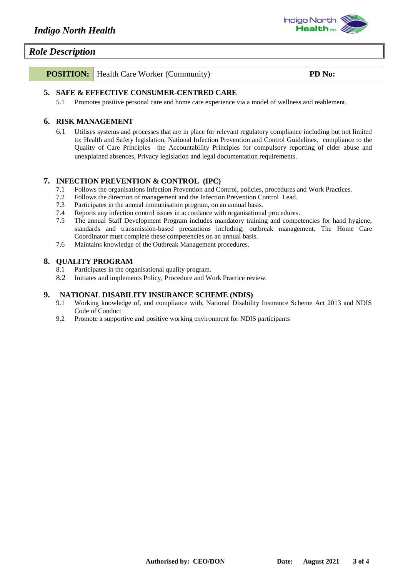

**POSITION:** Health Care Worker (Community) **PD No:** 

#### **5. SAFE & EFFECTIVE CONSUMER-CENTRED CARE**

5.1 Promotes positive personal care and home care experience via a model of wellness and reablement.

# **6. RISK MANAGEMENT**

6.1 Utilises systems and processes that are in place for relevant regulatory compliance including but not limited to; Health and Safety legislation, National Infection Prevention and Control Guidelines, compliance to the Quality of Care Principles –the Accountability Principles for compulsory reporting of elder abuse and unexplained absences, Privacy legislation and legal documentation requirements.

# **7. INFECTION PREVENTION & CONTROL (IPC)**

- 7.1 Follows the organisations Infection Prevention and Control, policies, procedures and Work Practices.
- 7.2 Follows the direction of management and the Infection Prevention Control Lead.
- 7.3 Participates in the annual immunisation program, on an annual basis.
- 7.4 Reports any infection control issues in accordance with organisational procedures.
- 7.5 The annual Staff Development Program includes mandatory training and competencies for hand hygiene, standards and transmission-based precautions including; outbreak management. The Home Care Coordinator must complete these competencies on an annual basis.
- 7.6 Maintains knowledge of the Outbreak Management procedures.

# **8. QUALITY PROGRAM**

- 8.1 Participates in the organisational quality program.
- 8.2 Initiates and implements Policy, Procedure and Work Practice review.

# **9. NATIONAL DISABILITY INSURANCE SCHEME (NDIS)**<br>9.1 Working knowledge of, and compliance with, National Disabili

- 9.1 Working knowledge of, and compliance with, National Disability Insurance Scheme Act 2013 and NDIS Code of Conduct
- 9.2 Promote a supportive and positive working environment for NDIS participants